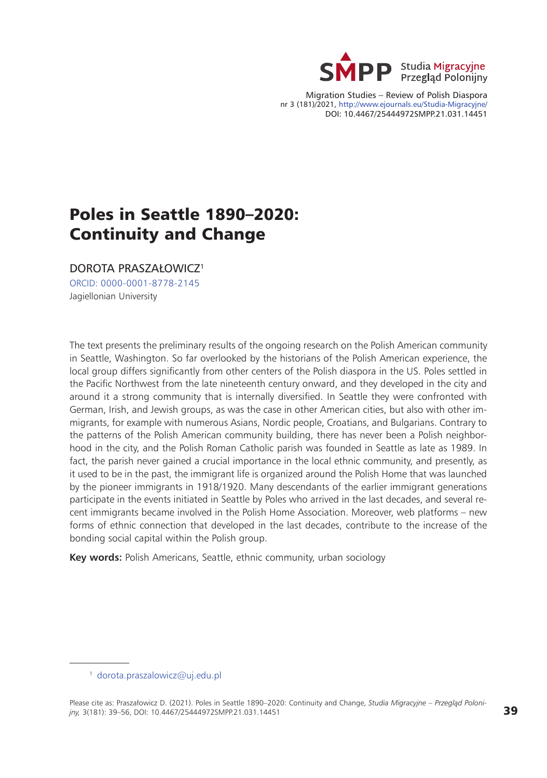

Migration Studies – Review of Polish Diaspora nr 3 (181)/2021, <http://www.ejournals.eu/Studia-Migracyjne/> DOI: 10.4467/25444972SMPP.21.031.14451

# Poles in Seattle 1890–2020: Continuity and Change

DOROTA PRASZAŁOWICZ<sup>1</sup>

[ORCID: 0000-0001-8778-2145](https://orcid.org/0000-0001-8778-2145) Jagiellonian University

The text presents the preliminary results of the ongoing research on the Polish American community in Seattle, Washington. So far overlooked by the historians of the Polish American experience, the local group differs significantly from other centers of the Polish diaspora in the US. Poles settled in the Pacific Northwest from the late nineteenth century onward, and they developed in the city and around it a strong community that is internally diversified. In Seattle they were confronted with German, Irish, and Jewish groups, as was the case in other American cities, but also with other immigrants, for example with numerous Asians, Nordic people, Croatians, and Bulgarians. Contrary to the patterns of the Polish American community building, there has never been a Polish neighborhood in the city, and the Polish Roman Catholic parish was founded in Seattle as late as 1989. In fact, the parish never gained a crucial importance in the local ethnic community, and presently, as it used to be in the past, the immigrant life is organized around the Polish Home that was launched by the pioneer immigrants in 1918/1920. Many descendants of the earlier immigrant generations participate in the events initiated in Seattle by Poles who arrived in the last decades, and several recent immigrants became involved in the Polish Home Association. Moreover, web platforms – new forms of ethnic connection that developed in the last decades, contribute to the increase of the bonding social capital within the Polish group.

**Key words:** Polish Americans, Seattle, ethnic community, urban sociology

<sup>1</sup> [dorota.praszalowicz@uj.edu.pl](mailto:dorota.praszalowicz%40uj.edu.pl?subject=)

Please cite as: Praszałowicz D. (2021). Poles in Seattle 1890–2020: Continuity and Change, *Studia Migracyjne – Przegląd Polonijny,* 3(181): 39–56, DOI: 10.4467/25444972SMPP.21.031.14451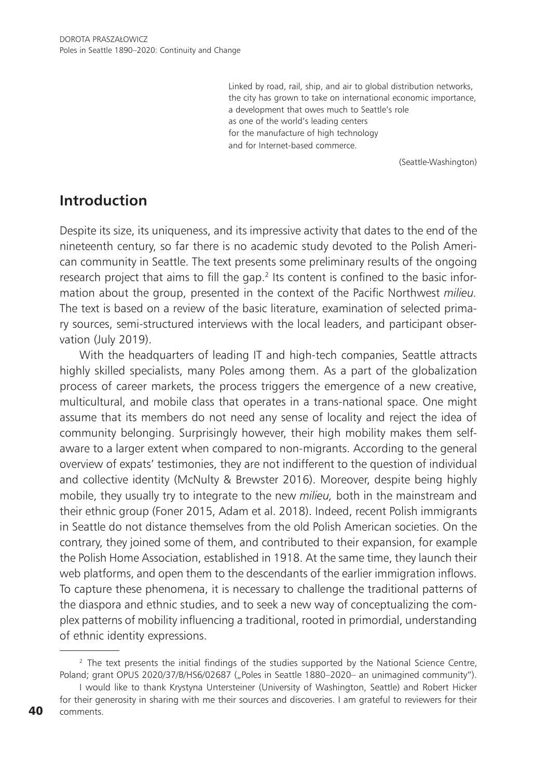Linked by road, rail, ship, and air to global distribution networks, the city has grown to take on international economic importance, a development that owes much to Seattle's role as one of the world's leading centers for the manufacture of high technology and for Internet-based commerce.

(Seattle-Washington)

### **Introduction**

Despite its size, its uniqueness, and its impressive activity that dates to the end of the nineteenth century, so far there is no academic study devoted to the Polish American community in Seattle. The text presents some preliminary results of the ongoing research project that aims to fill the gap.<sup>2</sup> Its content is confined to the basic information about the group, presented in the context of the Pacific Northwest *milieu.*  The text is based on a review of the basic literature, examination of selected primary sources, semi-structured interviews with the local leaders, and participant observation (July 2019).

With the headquarters of leading IT and high-tech companies, Seattle attracts highly skilled specialists, many Poles among them. As a part of the globalization process of career markets, the process triggers the emergence of a new creative, multicultural, and mobile class that operates in a trans-national space. One might assume that its members do not need any sense of locality and reject the idea of community belonging. Surprisingly however, their high mobility makes them selfaware to a larger extent when compared to non-migrants. According to the general overview of expats' testimonies, they are not indifferent to the question of individual and collective identity (McNulty & Brewster 2016). Moreover, despite being highly mobile, they usually try to integrate to the new *milieu,* both in the mainstream and their ethnic group (Foner 2015, Adam et al. 2018). Indeed, recent Polish immigrants in Seattle do not distance themselves from the old Polish American societies. On the contrary, they joined some of them, and contributed to their expansion, for example the Polish Home Association, established in 1918. At the same time, they launch their web platforms, and open them to the descendants of the earlier immigration inflows. To capture these phenomena, it is necessary to challenge the traditional patterns of the diaspora and ethnic studies, and to seek a new way of conceptualizing the complex patterns of mobility influencing a traditional, rooted in primordial, understanding of ethnic identity expressions.

<sup>&</sup>lt;sup>2</sup> The text presents the initial findings of the studies supported by the National Science Centre, Poland; grant OPUS 2020/37/B/HS6/02687 ("Poles in Seattle 1880-2020- an unimagined community").

I would like to thank Krystyna Untersteiner (University of Washington, Seattle) and Robert Hicker for their generosity in sharing with me their sources and discoveries. I am grateful to reviewers for their comments.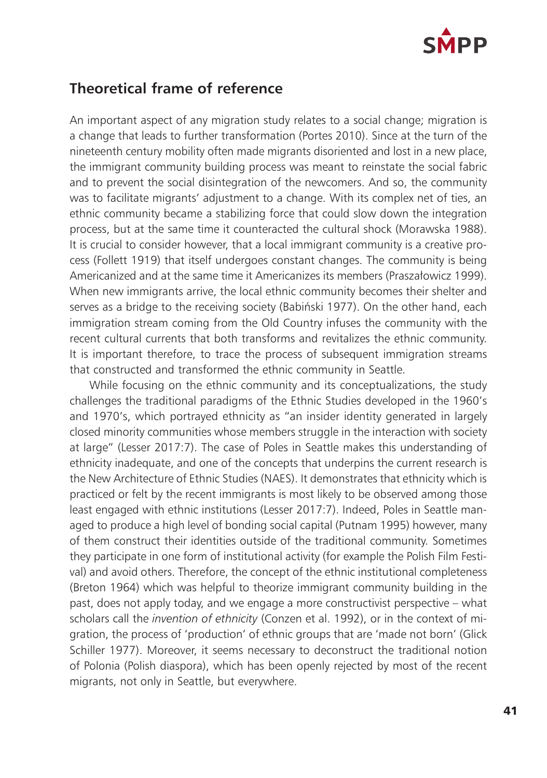

### **Theoretical frame of reference**

An important aspect of any migration study relates to a social change; migration is a change that leads to further transformation (Portes 2010). Since at the turn of the nineteenth century mobility often made migrants disoriented and lost in a new place, the immigrant community building process was meant to reinstate the social fabric and to prevent the social disintegration of the newcomers. And so, the community was to facilitate migrants' adjustment to a change. With its complex net of ties, an ethnic community became a stabilizing force that could slow down the integration process, but at the same time it counteracted the cultural shock (Morawska 1988). It is crucial to consider however, that a local immigrant community is a creative process (Follett 1919) that itself undergoes constant changes. The community is being Americanized and at the same time it Americanizes its members (Praszałowicz 1999). When new immigrants arrive, the local ethnic community becomes their shelter and serves as a bridge to the receiving society (Babiński 1977). On the other hand, each immigration stream coming from the Old Country infuses the community with the recent cultural currents that both transforms and revitalizes the ethnic community. It is important therefore, to trace the process of subsequent immigration streams that constructed and transformed the ethnic community in Seattle.

While focusing on the ethnic community and its conceptualizations, the study challenges the traditional paradigms of the Ethnic Studies developed in the 1960's and 1970's, which portrayed ethnicity as "an insider identity generated in largely closed minority communities whose members struggle in the interaction with society at large" (Lesser 2017:7). The case of Poles in Seattle makes this understanding of ethnicity inadequate, and one of the concepts that underpins the current research is the New Architecture of Ethnic Studies (NAES). It demonstrates that ethnicity which is practiced or felt by the recent immigrants is most likely to be observed among those least engaged with ethnic institutions (Lesser 2017:7). Indeed, Poles in Seattle managed to produce a high level of bonding social capital (Putnam 1995) however, many of them construct their identities outside of the traditional community. Sometimes they participate in one form of institutional activity (for example the Polish Film Festival) and avoid others. Therefore, the concept of the ethnic institutional completeness (Breton 1964) which was helpful to theorize immigrant community building in the past, does not apply today, and we engage a more constructivist perspective – what scholars call the *invention of ethnicity* (Conzen et al. 1992), or in the context of migration, the process of 'production' of ethnic groups that are 'made not born' (Glick Schiller 1977). Moreover, it seems necessary to deconstruct the traditional notion of Polonia (Polish diaspora), which has been openly rejected by most of the recent migrants, not only in Seattle, but everywhere.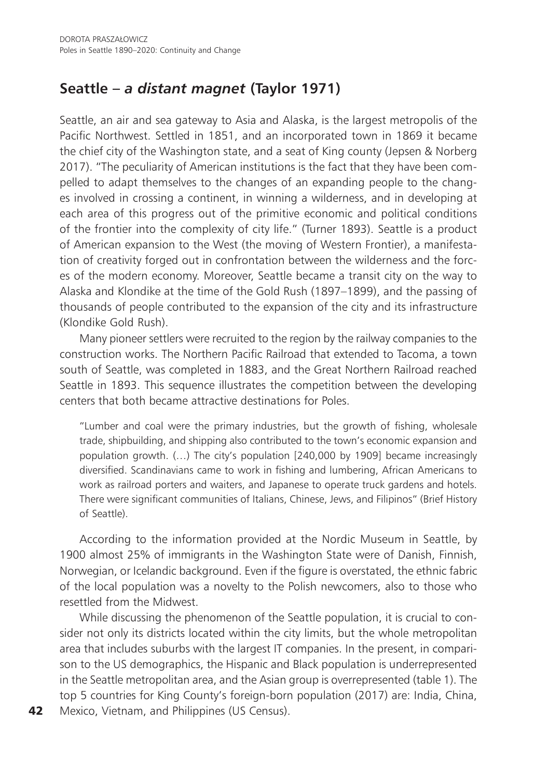## **Seattle –** *a distant magnet* **(Taylor 1971)**

Seattle, an air and sea gateway to Asia and Alaska, is the largest metropolis of the Pacific Northwest. Settled in 1851, and an incorporated town in 1869 it became the chief city of the Washington state, and a seat of King county (Jepsen & Norberg 2017). "The peculiarity of American institutions is the fact that they have been compelled to adapt themselves to the changes of an expanding people to the changes involved in crossing a continent, in winning a wilderness, and in developing at each area of this progress out of the primitive economic and political conditions of the frontier into the complexity of city life." (Turner 1893). Seattle is a product of American expansion to the West (the moving of Western Frontier), a manifestation of creativity forged out in confrontation between the wilderness and the forces of the modern economy. Moreover, Seattle became a transit city on the way to Alaska and Klondike at the time of the Gold Rush (1897–1899), and the passing of thousands of people contributed to the expansion of the city and its infrastructure (Klondike Gold Rush).

Many pioneer settlers were recruited to the region by the railway companies to the construction works. The Northern Pacific Railroad that extended to Tacoma, a town south of Seattle, was completed in 1883, and the Great Northern Railroad reached Seattle in 1893. This sequence illustrates the competition between the developing centers that both became attractive destinations for Poles.

"Lumber and coal were the primary industries, but the growth of fishing, wholesale trade, shipbuilding, and shipping also contributed to the town's economic expansion and population growth. (…) The city's population [240,000 by 1909] became increasingly diversified. Scandinavians came to work in fishing and lumbering, African Americans to work as railroad porters and waiters, and Japanese to operate truck gardens and hotels. There were significant communities of Italians, Chinese, Jews, and Filipinos" (Brief History of Seattle).

According to the information provided at the Nordic Museum in Seattle, by 1900 almost 25% of immigrants in the Washington State were of Danish, Finnish, Norwegian, or Icelandic background. Even if the figure is overstated, the ethnic fabric of the local population was a novelty to the Polish newcomers, also to those who resettled from the Midwest.

While discussing the phenomenon of the Seattle population, it is crucial to consider not only its districts located within the city limits, but the whole metropolitan area that includes suburbs with the largest IT companies. In the present, in comparison to the US demographics, the Hispanic and Black population is underrepresented in the Seattle metropolitan area, and the Asian group is overrepresented (table 1). The top 5 countries for King County's foreign-born population (2017) are: India, China, Mexico, Vietnam, and Philippines (US Census).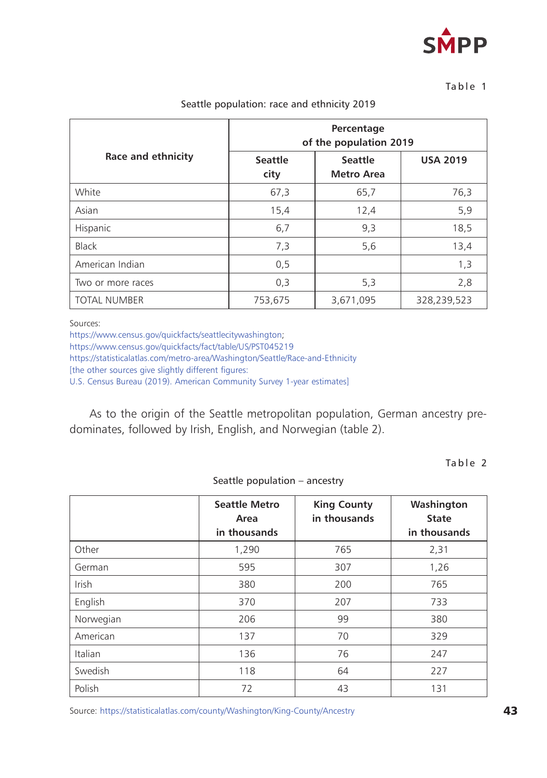

#### $Table 1$

|                     | Percentage<br>of the population 2019 |                              |                 |
|---------------------|--------------------------------------|------------------------------|-----------------|
| Race and ethnicity  | <b>Seattle</b><br>city               | <b>Seattle</b><br>Metro Area | <b>USA 2019</b> |
| White               | 67,3                                 | 65,7                         | 76,3            |
| Asian               | 15,4                                 | 12,4                         | 5,9             |
| Hispanic            | 6,7                                  | 9,3                          | 18,5            |
| Black               | 7,3                                  | 5,6                          | 13,4            |
| American Indian     | 0,5                                  |                              | 1,3             |
| Two or more races   | 0,3                                  | 5,3                          | 2,8             |
| <b>TOTAL NUMBER</b> | 753,675                              | 3,671,095                    | 328,239,523     |

#### Seattle population: race and ethnicity 2019

Sources:

<https://www.census.gov/quickfacts/seattlecitywashington>;

<https://www.census.gov/quickfacts/fact/table/US/PST045219>

<https://statisticalatlas.com/metro-area/Washington/Seattle/Race-and-Ethnicity>

[the other sources give slightly different figures:

U.S. Census Bureau (2019). American Community Survey 1-year estimates]

As to the origin of the Seattle metropolitan population, German ancestry predominates, followed by Irish, English, and Norwegian (table 2).

Table 2

Seattle population – ancestry

|              | <b>Seattle Metro</b><br>Area<br>in thousands | <b>King County</b><br>in thousands | Washington<br><b>State</b><br>in thousands |
|--------------|----------------------------------------------|------------------------------------|--------------------------------------------|
| Other        | 1,290                                        | 765                                | 2,31                                       |
| German       | 595                                          | 307                                | 1,26                                       |
| <b>Irish</b> | 380                                          | 200                                | 765                                        |
| English      | 370                                          | 207                                | 733                                        |
| Norwegian    | 206                                          | 99                                 | 380                                        |
| American     | 137                                          | 70                                 | 329                                        |
| Italian      | 136                                          | 76                                 | 247                                        |
| Swedish      | 118                                          | 64                                 | 227                                        |
| Polish       | 72                                           | 43                                 | 131                                        |

Source: <https://statisticalatlas.com/county/Washington/King-County/Ancestry>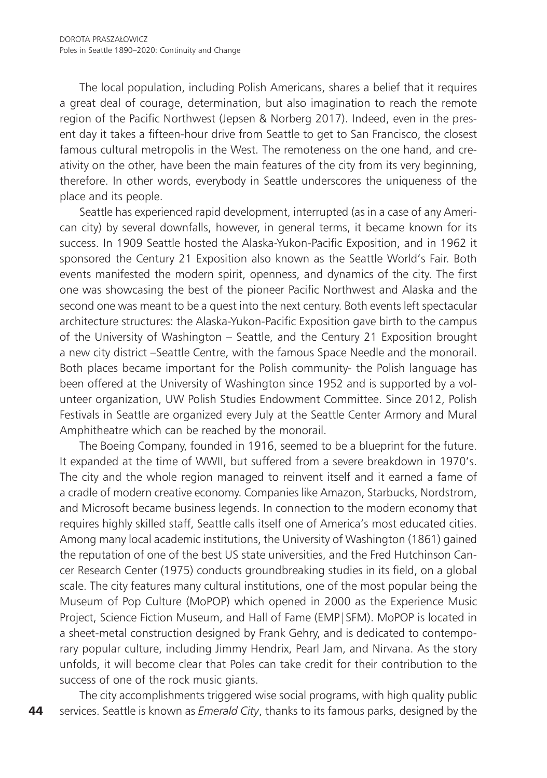The local population, including Polish Americans, shares a belief that it requires a great deal of courage, determination, but also imagination to reach the remote region of the Pacific Northwest (Jepsen & Norberg 2017). Indeed, even in the present day it takes a fifteen-hour drive from Seattle to get to San Francisco, the closest famous cultural metropolis in the West. The remoteness on the one hand, and creativity on the other, have been the main features of the city from its very beginning, therefore. In other words, everybody in Seattle underscores the uniqueness of the place and its people.

Seattle has experienced rapid development, interrupted (as in a case of any American city) by several downfalls, however, in general terms, it became known for its success. In 1909 Seattle hosted the Alaska-Yukon-Pacific Exposition, and in 1962 it sponsored the Century 21 Exposition also known as the Seattle World's Fair. Both events manifested the modern spirit, openness, and dynamics of the city. The first one was showcasing the best of the pioneer Pacific Northwest and Alaska and the second one was meant to be a quest into the next century. Both events left spectacular architecture structures: the Alaska-Yukon-Pacific Exposition gave birth to the campus of the University of Washington – Seattle, and the Century 21 Exposition brought a new city district –Seattle Centre, with the famous Space Needle and the monorail. Both places became important for the Polish community- the Polish language has been offered at the University of Washington since 1952 and is supported by a volunteer organization, UW Polish Studies Endowment Committee. Since 2012, Polish Festivals in Seattle are organized every July at the Seattle Center Armory and Mural Amphitheatre which can be reached by the monorail.

The Boeing Company, founded in 1916, seemed to be a blueprint for the future. It expanded at the time of WWII, but suffered from a severe breakdown in 1970's. The city and the whole region managed to reinvent itself and it earned a fame of a cradle of modern creative economy. Companies like Amazon, Starbucks, Nordstrom, and Microsoft became business legends. In connection to the modern economy that requires highly skilled staff, Seattle calls itself one of America's most educated cities. Among many local academic institutions, the University of Washington (1861) gained the reputation of one of the best US state universities, and the Fred Hutchinson Cancer Research Center (1975) conducts groundbreaking studies in its field, on a global scale. The city features many cultural institutions, one of the most popular being the Museum of Pop Culture (MoPOP) which opened in 2000 as the Experience Music Project, Science Fiction Museum, and Hall of Fame (EMP|SFM). MoPOP is located in a sheet-metal construction designed by Frank Gehry, and is dedicated to contemporary popular culture, including Jimmy Hendrix, Pearl Jam, and Nirvana. As the story unfolds, it will become clear that Poles can take credit for their contribution to the success of one of the rock music giants.

44 The city accomplishments triggered wise social programs, with high quality public services. Seattle is known as *Emerald City*, thanks to its famous parks, designed by the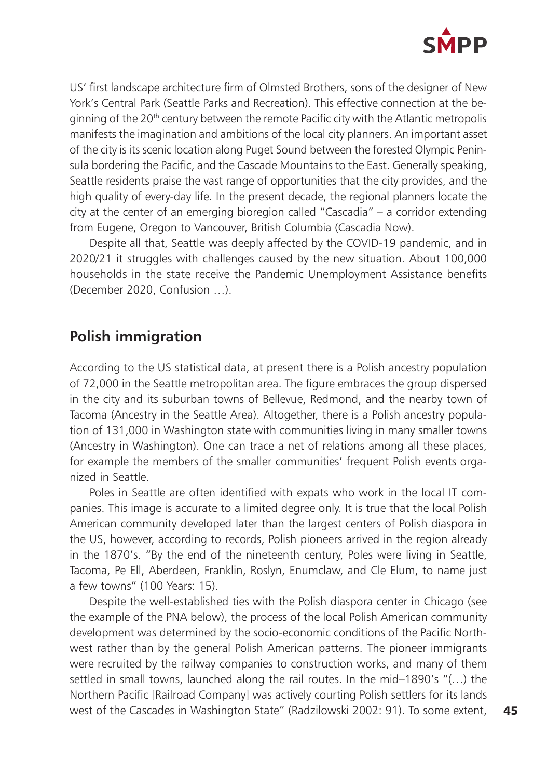

US' first landscape architecture firm of Olmsted Brothers, sons of the designer of New York's Central Park (Seattle Parks and Recreation). This effective connection at the beginning of the 20<sup>th</sup> century between the remote Pacific city with the Atlantic metropolis manifests the imagination and ambitions of the local city planners. An important asset of the city is its scenic location along Puget Sound between the forested Olympic Peninsula bordering the Pacific, and the Cascade Mountains to the East. Generally speaking, Seattle residents praise the vast range of opportunities that the city provides, and the high quality of every-day life. In the present decade, the regional planners locate the city at the center of an emerging bioregion called "Cascadia" – a corridor extending from Eugene, Oregon to Vancouver, British Columbia (Cascadia Now).

Despite all that, Seattle was deeply affected by the COVID-19 pandemic, and in 2020/21 it struggles with challenges caused by the new situation. About 100,000 households in the state receive the Pandemic Unemployment Assistance benefits (December 2020, Confusion …).

### **Polish immigration**

According to the US statistical data, at present there is a Polish ancestry population of 72,000 in the Seattle metropolitan area. The figure embraces the group dispersed in the city and its suburban towns of Bellevue, Redmond, and the nearby town of Tacoma (Ancestry in the Seattle Area). Altogether, there is a Polish ancestry population of 131,000 in Washington state with communities living in many smaller towns (Ancestry in Washington). One can trace a net of relations among all these places, for example the members of the smaller communities' frequent Polish events organized in Seattle.

Poles in Seattle are often identified with expats who work in the local IT companies. This image is accurate to a limited degree only. It is true that the local Polish American community developed later than the largest centers of Polish diaspora in the US, however, according to records, Polish pioneers arrived in the region already in the 1870's. "By the end of the nineteenth century, Poles were living in Seattle, Tacoma, Pe Ell, Aberdeen, Franklin, Roslyn, Enumclaw, and Cle Elum, to name just a few towns" (100 Years: 15).

Despite the well-established ties with the Polish diaspora center in Chicago (see the example of the PNA below), the process of the local Polish American community development was determined by the socio-economic conditions of the Pacific Northwest rather than by the general Polish American patterns. The pioneer immigrants were recruited by the railway companies to construction works, and many of them settled in small towns, launched along the rail routes. In the mid–1890's "(…) the Northern Pacific [Railroad Company] was actively courting Polish settlers for its lands west of the Cascades in Washington State" (Radzilowski 2002: 91). To some extent,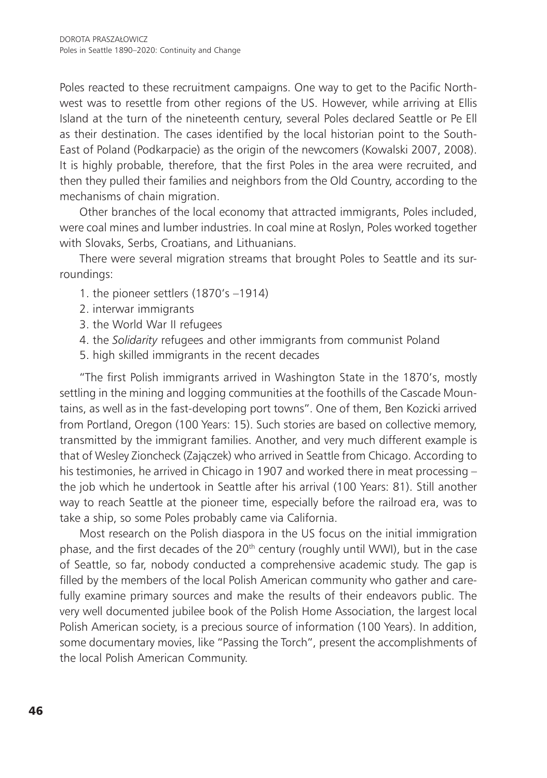Poles reacted to these recruitment campaigns. One way to get to the Pacific Northwest was to resettle from other regions of the US. However, while arriving at Ellis Island at the turn of the nineteenth century, several Poles declared Seattle or Pe Ell as their destination. The cases identified by the local historian point to the South-East of Poland (Podkarpacie) as the origin of the newcomers (Kowalski 2007, 2008). It is highly probable, therefore, that the first Poles in the area were recruited, and then they pulled their families and neighbors from the Old Country, according to the mechanisms of chain migration.

Other branches of the local economy that attracted immigrants, Poles included, were coal mines and lumber industries. In coal mine at Roslyn, Poles worked together with Slovaks, Serbs, Croatians, and Lithuanians.

There were several migration streams that brought Poles to Seattle and its surroundings:

- 1. the pioneer settlers (1870's –1914)
- 2. interwar immigrants
- 3. the World War II refugees
- 4. the *Solidarity* refugees and other immigrants from communist Poland
- 5. high skilled immigrants in the recent decades

"The first Polish immigrants arrived in Washington State in the 1870's, mostly settling in the mining and logging communities at the foothills of the Cascade Mountains, as well as in the fast-developing port towns". One of them, Ben Kozicki arrived from Portland, Oregon (100 Years: 15). Such stories are based on collective memory, transmitted by the immigrant families. Another, and very much different example is that of Wesley Zioncheck (Zajączek) who arrived in Seattle from Chicago. According to his testimonies, he arrived in Chicago in 1907 and worked there in meat processing – the job which he undertook in Seattle after his arrival (100 Years: 81). Still another way to reach Seattle at the pioneer time, especially before the railroad era, was to take a ship, so some Poles probably came via California.

Most research on the Polish diaspora in the US focus on the initial immigration phase, and the first decades of the  $20<sup>th</sup>$  century (roughly until WWI), but in the case of Seattle, so far, nobody conducted a comprehensive academic study. The gap is filled by the members of the local Polish American community who gather and carefully examine primary sources and make the results of their endeavors public. The very well documented jubilee book of the Polish Home Association, the largest local Polish American society, is a precious source of information (100 Years). In addition, some documentary movies, like "Passing the Torch", present the accomplishments of the local Polish American Community.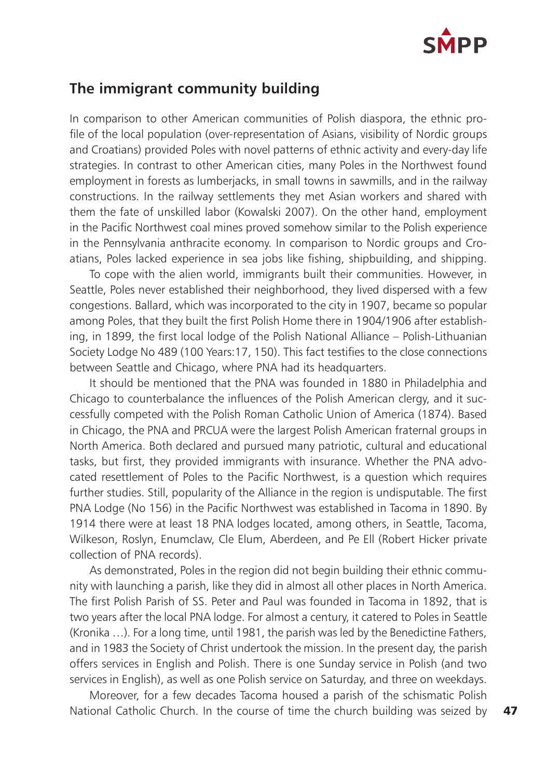

#### **The immigrant community building**

In comparison to other American communities of Polish diaspora, the ethnic profile of the local population (over-representation of Asians, visibility of Nordic groups and Croatians) provided Poles with novel patterns of ethnic activity and every-day life strategies. In contrast to other American cities, many Poles in the Northwest found employment in forests as lumberjacks, in small towns in sawmills, and in the railway constructions. In the railway settlements they met Asian workers and shared with them the fate of unskilled labor (Kowalski 2007). On the other hand, employment in the Pacific Northwest coal mines proved somehow similar to the Polish experience in the Pennsylvania anthracite economy. In comparison to Nordic groups and Croatians, Poles lacked experience in sea jobs like fishing, shipbuilding, and shipping.

To cope with the alien world, immigrants built their communities. However, in Seattle, Poles never established their neighborhood, they lived dispersed with a few congestions. Ballard, which was incorporated to the city in 1907, became so popular among Poles, that they built the first Polish Home there in 1904/1906 after establishing, in 1899, the first local lodge of the Polish National Alliance – Polish-Lithuanian Society Lodge No 489 (100 Years:17, 150). This fact testifies to the close connections between Seattle and Chicago, where PNA had its headquarters.

It should be mentioned that the PNA was founded in 1880 in Philadelphia and Chicago to counterbalance the influences of the Polish American clergy, and it successfully competed with the Polish Roman Catholic Union of America (1874). Based in Chicago, the PNA and PRCUA were the largest Polish American fraternal groups in North America. Both declared and pursued many patriotic, cultural and educational tasks, but first, they provided immigrants with insurance. Whether the PNA advocated resettlement of Poles to the Pacific Northwest, is a question which requires further studies. Still, popularity of the Alliance in the region is undisputable. The first PNA Lodge (No 156) in the Pacific Northwest was established in Tacoma in 1890. By 1914 there were at least 18 PNA lodges located, among others, in Seattle, Tacoma, Wilkeson, Roslyn, Enumclaw, Cle Elum, Aberdeen, and Pe Ell (Robert Hicker private collection of PNA records).

As demonstrated, Poles in the region did not begin building their ethnic community with launching a parish, like they did in almost all other places in North America. The first Polish Parish of SS. Peter and Paul was founded in Tacoma in 1892, that is two years after the local PNA lodge. For almost a century, it catered to Poles in Seattle (Kronika …). For a long time, until 1981, the parish was led by the Benedictine Fathers, and in 1983 the Society of Christ undertook the mission. In the present day, the parish offers services in English and Polish. There is one Sunday service in Polish (and two services in English), as well as one Polish service on Saturday, and three on weekdays.

Moreover, for a few decades Tacoma housed a parish of the schismatic Polish National Catholic Church. In the course of time the church building was seized by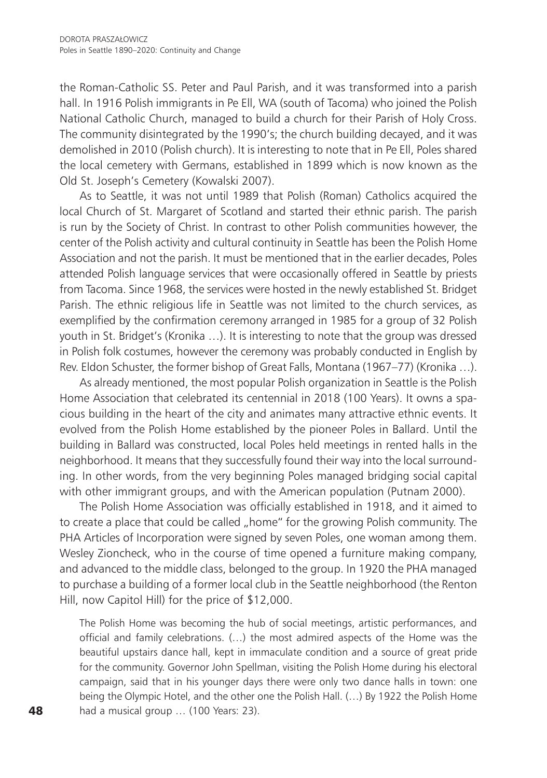the Roman-Catholic SS. Peter and Paul Parish, and it was transformed into a parish hall. In 1916 Polish immigrants in Pe Ell, WA (south of Tacoma) who joined the Polish National Catholic Church, managed to build a church for their Parish of Holy Cross. The community disintegrated by the 1990's; the church building decayed, and it was demolished in 2010 (Polish church). It is interesting to note that in Pe Ell, Poles shared the local cemetery with Germans, established in 1899 which is now known as the Old St. Joseph's Cemetery (Kowalski 2007).

As to Seattle, it was not until 1989 that Polish (Roman) Catholics acquired the local Church of St. Margaret of Scotland and started their ethnic parish. The parish is run by the Society of Christ. In contrast to other Polish communities however, the center of the Polish activity and cultural continuity in Seattle has been the Polish Home Association and not the parish. It must be mentioned that in the earlier decades, Poles attended Polish language services that were occasionally offered in Seattle by priests from Tacoma. Since 1968, the services were hosted in the newly established St. Bridget Parish. The ethnic religious life in Seattle was not limited to the church services, as exemplified by the confirmation ceremony arranged in 1985 for a group of 32 Polish youth in St. Bridget's (Kronika …). It is interesting to note that the group was dressed in Polish folk costumes, however the ceremony was probably conducted in English by Rev. Eldon Schuster, the former bishop of Great Falls, Montana (1967–77) (Kronika …).

As already mentioned, the most popular Polish organization in Seattle is the Polish Home Association that celebrated its centennial in 2018 (100 Years). It owns a spacious building in the heart of the city and animates many attractive ethnic events. It evolved from the Polish Home established by the pioneer Poles in Ballard. Until the building in Ballard was constructed, local Poles held meetings in rented halls in the neighborhood. It means that they successfully found their way into the local surrounding. In other words, from the very beginning Poles managed bridging social capital with other immigrant groups, and with the American population (Putnam 2000).

The Polish Home Association was officially established in 1918, and it aimed to to create a place that could be called "home" for the growing Polish community. The PHA Articles of Incorporation were signed by seven Poles, one woman among them. Wesley Zioncheck, who in the course of time opened a furniture making company, and advanced to the middle class, belonged to the group. In 1920 the PHA managed to purchase a building of a former local club in the Seattle neighborhood (the Renton Hill, now Capitol Hill) for the price of \$12,000.

The Polish Home was becoming the hub of social meetings, artistic performances, and official and family celebrations. (…) the most admired aspects of the Home was the beautiful upstairs dance hall, kept in immaculate condition and a source of great pride for the community. Governor John Spellman, visiting the Polish Home during his electoral campaign, said that in his younger days there were only two dance halls in town: one being the Olympic Hotel, and the other one the Polish Hall. (…) By 1922 the Polish Home had a musical group ... (100 Years: 23).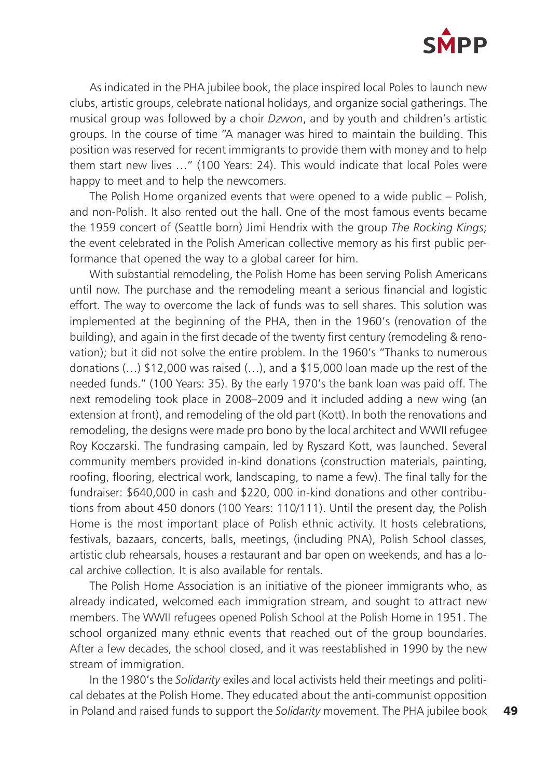

As indicated in the PHA jubilee book, the place inspired local Poles to launch new clubs, artistic groups, celebrate national holidays, and organize social gatherings. The musical group was followed by a choir *Dzwon*, and by youth and children's artistic groups. In the course of time "A manager was hired to maintain the building. This position was reserved for recent immigrants to provide them with money and to help them start new lives …" (100 Years: 24). This would indicate that local Poles were happy to meet and to help the newcomers.

The Polish Home organized events that were opened to a wide public – Polish, and non-Polish. It also rented out the hall. One of the most famous events became the 1959 concert of (Seattle born) Jimi Hendrix with the group *The Rocking Kings*; the event celebrated in the Polish American collective memory as his first public performance that opened the way to a global career for him.

With substantial remodeling, the Polish Home has been serving Polish Americans until now. The purchase and the remodeling meant a serious financial and logistic effort. The way to overcome the lack of funds was to sell shares. This solution was implemented at the beginning of the PHA, then in the 1960's (renovation of the building), and again in the first decade of the twenty first century (remodeling & renovation); but it did not solve the entire problem. In the 1960's "Thanks to numerous donations (…) \$12,000 was raised (…), and a \$15,000 loan made up the rest of the needed funds." (100 Years: 35). By the early 1970's the bank loan was paid off. The next remodeling took place in 2008–2009 and it included adding a new wing (an extension at front), and remodeling of the old part (Kott). In both the renovations and remodeling, the designs were made pro bono by the local architect and WWII refugee Roy Koczarski. The fundrasing campain, led by Ryszard Kott, was launched. Several community members provided in-kind donations (construction materials, painting, roofing, flooring, electrical work, landscaping, to name a few). The final tally for the fundraiser: \$640,000 in cash and \$220, 000 in-kind donations and other contributions from about 450 donors (100 Years: 110/111). Until the present day, the Polish Home is the most important place of Polish ethnic activity. It hosts celebrations, festivals, bazaars, concerts, balls, meetings, (including PNA), Polish School classes, artistic club rehearsals, houses a restaurant and bar open on weekends, and has a local archive collection. It is also available for rentals.

The Polish Home Association is an initiative of the pioneer immigrants who, as already indicated, welcomed each immigration stream, and sought to attract new members. The WWII refugees opened Polish School at the Polish Home in 1951. The school organized many ethnic events that reached out of the group boundaries. After a few decades, the school closed, and it was reestablished in 1990 by the new stream of immigration.

In the 1980's the *Solidarity* exiles and local activists held their meetings and political debates at the Polish Home. They educated about the anti-communist opposition in Poland and raised funds to support the *Solidarity* movement. The PHA jubilee book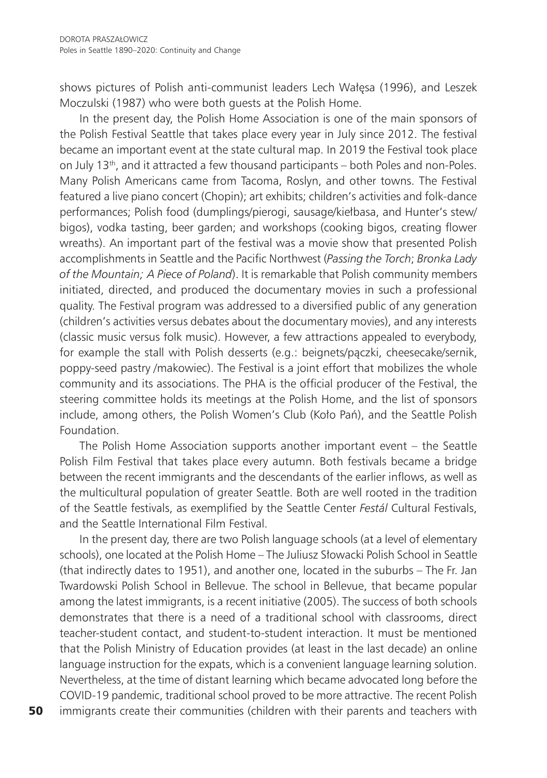shows pictures of Polish anti-communist leaders Lech Wałęsa (1996), and Leszek Moczulski (1987) who were both guests at the Polish Home.

In the present day, the Polish Home Association is one of the main sponsors of the Polish Festival Seattle that takes place every year in July since 2012. The festival became an important event at the state cultural map. In 2019 the Festival took place on July 13<sup>th</sup>, and it attracted a few thousand participants – both Poles and non-Poles. Many Polish Americans came from Tacoma, Roslyn, and other towns. The Festival featured a live piano concert (Chopin); art exhibits; children's activities and folk-dance performances; Polish food (dumplings/pierogi, sausage/kiełbasa, and Hunter's stew/ bigos), vodka tasting, beer garden; and workshops (cooking bigos, creating flower wreaths). An important part of the festival was a movie show that presented Polish accomplishments in Seattle and the Pacific Northwest (*Passing the Torch*; *Bronka Lady of the Mountain; A Piece of Poland*). It is remarkable that Polish community members initiated, directed, and produced the documentary movies in such a professional quality. The Festival program was addressed to a diversified public of any generation (children's activities versus debates about the documentary movies), and any interests (classic music versus folk music). However, a few attractions appealed to everybody, for example the stall with Polish desserts (e.g.: beignets/pączki, cheesecake/sernik, poppy-seed pastry /makowiec). The Festival is a joint effort that mobilizes the whole community and its associations. The PHA is the official producer of the Festival, the steering committee holds its meetings at the Polish Home, and the list of sponsors include, among others, the Polish Women's Club (Koło Pań), and the Seattle Polish Foundation.

The Polish Home Association supports another important event – the Seattle Polish Film Festival that takes place every autumn. Both festivals became a bridge between the recent immigrants and the descendants of the earlier inflows, as well as the multicultural population of greater Seattle. Both are well rooted in the tradition of the Seattle festivals, as exemplified by the Seattle Center *Festál* Cultural Festivals, and the Seattle International Film Festival.

In the present day, there are two Polish language schools (at a level of elementary schools), one located at the Polish Home – The Juliusz Słowacki Polish School in Seattle (that indirectly dates to 1951), and another one, located in the suburbs – The Fr. Jan Twardowski Polish School in Bellevue. The school in Bellevue, that became popular among the latest immigrants, is a recent initiative (2005). The success of both schools demonstrates that there is a need of a traditional school with classrooms, direct teacher-student contact, and student-to-student interaction. It must be mentioned that the Polish Ministry of Education provides (at least in the last decade) an online language instruction for the expats, which is a convenient language learning solution. Nevertheless, at the time of distant learning which became advocated long before the COVID-19 pandemic, traditional school proved to be more attractive. The recent Polish immigrants create their communities (children with their parents and teachers with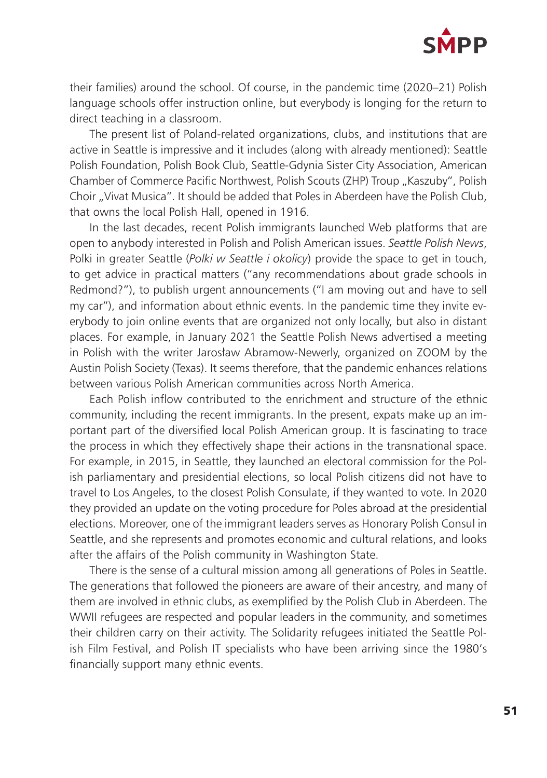

their families) around the school. Of course, in the pandemic time (2020–21) Polish language schools offer instruction online, but everybody is longing for the return to direct teaching in a classroom.

The present list of Poland-related organizations, clubs, and institutions that are active in Seattle is impressive and it includes (along with already mentioned): Seattle Polish Foundation, Polish Book Club, Seattle-Gdynia Sister City Association, American Chamber of Commerce Pacific Northwest, Polish Scouts (ZHP) Troup "Kaszuby", Polish Choir "Vivat Musica". It should be added that Poles in Aberdeen have the Polish Club, that owns the local Polish Hall, opened in 1916.

In the last decades, recent Polish immigrants launched Web platforms that are open to anybody interested in Polish and Polish American issues. *Seattle Polish News*, Polki in greater Seattle (*Polki w Seattle i okolicy*) provide the space to get in touch, to get advice in practical matters ("any recommendations about grade schools in Redmond?"), to publish urgent announcements ("I am moving out and have to sell my car"), and information about ethnic events. In the pandemic time they invite everybody to join online events that are organized not only locally, but also in distant places. For example, in January 2021 the Seattle Polish News advertised a meeting in Polish with the writer Jarosław Abramow-Newerly, organized on ZOOM by the Austin Polish Society (Texas). It seems therefore, that the pandemic enhances relations between various Polish American communities across North America.

Each Polish inflow contributed to the enrichment and structure of the ethnic community, including the recent immigrants. In the present, expats make up an important part of the diversified local Polish American group. It is fascinating to trace the process in which they effectively shape their actions in the transnational space. For example, in 2015, in Seattle, they launched an electoral commission for the Polish parliamentary and presidential elections, so local Polish citizens did not have to travel to Los Angeles, to the closest Polish Consulate, if they wanted to vote. In 2020 they provided an update on the voting procedure for Poles abroad at the presidential elections. Moreover, one of the immigrant leaders serves as Honorary Polish Consul in Seattle, and she represents and promotes economic and cultural relations, and looks after the affairs of the Polish community in Washington State.

There is the sense of a cultural mission among all generations of Poles in Seattle. The generations that followed the pioneers are aware of their ancestry, and many of them are involved in ethnic clubs, as exemplified by the Polish Club in Aberdeen. The WWII refugees are respected and popular leaders in the community, and sometimes their children carry on their activity. The Solidarity refugees initiated the Seattle Polish Film Festival, and Polish IT specialists who have been arriving since the 1980's financially support many ethnic events.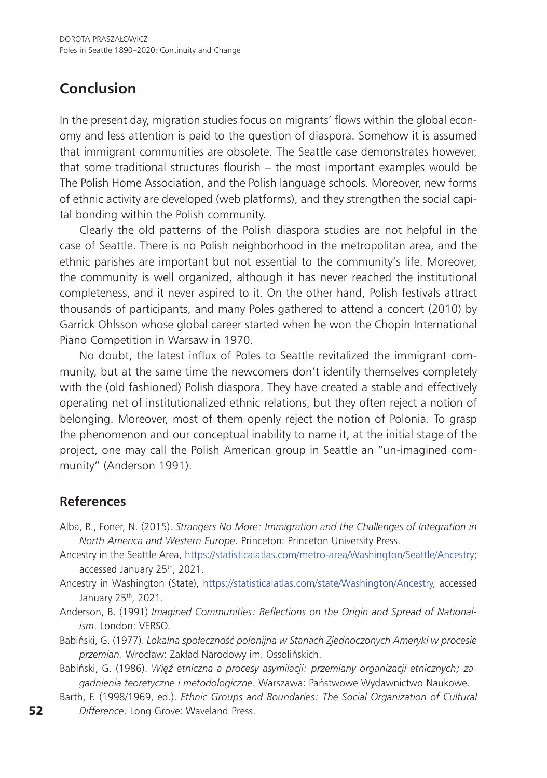## **Conclusion**

In the present day, migration studies focus on migrants' flows within the global economy and less attention is paid to the question of diaspora. Somehow it is assumed that immigrant communities are obsolete. The Seattle case demonstrates however, that some traditional structures flourish – the most important examples would be The Polish Home Association, and the Polish language schools. Moreover, new forms of ethnic activity are developed (web platforms), and they strengthen the social capital bonding within the Polish community.

Clearly the old patterns of the Polish diaspora studies are not helpful in the case of Seattle. There is no Polish neighborhood in the metropolitan area, and the ethnic parishes are important but not essential to the community's life. Moreover, the community is well organized, although it has never reached the institutional completeness, and it never aspired to it. On the other hand, Polish festivals attract thousands of participants, and many Poles gathered to attend a concert (2010) by Garrick Ohlsson whose global career started when he won the Chopin International Piano Competition in Warsaw in 1970.

No doubt, the latest influx of Poles to Seattle revitalized the immigrant community, but at the same time the newcomers don't identify themselves completely with the (old fashioned) Polish diaspora. They have created a stable and effectively operating net of institutionalized ethnic relations, but they often reject a notion of belonging. Moreover, most of them openly reject the notion of Polonia. To grasp the phenomenon and our conceptual inability to name it, at the initial stage of the project, one may call the Polish American group in Seattle an "un-imagined community" (Anderson 1991).

#### **References**

- Alba, R., Foner, N. (2015). *Strangers No More: Immigration and the Challenges of Integration in North America and Western Europe*. Princeton: Princeton University Press.
- Ancestry in the Seattle Area, <https://statisticalatlas.com/metro-area/Washington/Seattle/Ancestry>; accessed January 25<sup>th</sup>, 2021.
- Ancestry in Washington (State), <https://statisticalatlas.com/state/Washington/Ancestry>, accessed January 25<sup>th</sup>, 2021.
- Anderson, B. (1991) *Imagined Communities: Reflections on the Origin and Spread of Nationalism*. London: VERSO.
- Babiński, G. (1977). *Lokalna społeczność polonijna w Stanach Zjednoczonych Ameryki w procesie przemian.* Wrocław: Zakład Narodowy im. Ossolińskich.
- Babiński, G. (1986). *Więź etniczna a procesy asymilacji: przemiany organizacji etnicznych; zagadnienia teoretyczne i metodologiczne*. Warszawa: Państwowe Wydawnictwo Naukowe.
- Barth, F. (1998/1969, ed.). *Ethnic Groups and Boundaries: The Social Organization of Cultural Difference*. Long Grove: Waveland Press.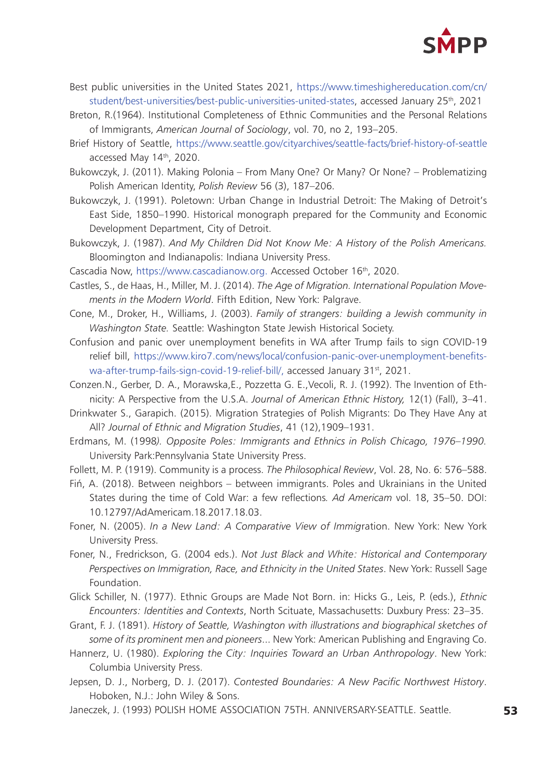

- Best public universities in the United States 2021, [https://www.timeshighereducation.com/cn/](https://www.timeshighereducation.com/cn/student/best-universities/best-public-universities-united-states) [student/best-universities/best-public-universities-united-states](https://www.timeshighereducation.com/cn/student/best-universities/best-public-universities-united-states), accessed January 25th, 2021
- Breton, R.(1964). Institutional Completeness of Ethnic Communities and the Personal Relations of Immigrants, *American Journal of Sociology*, vol. 70, no 2, 193–205.
- Brief History of Seattle, <https://www.seattle.gov/cityarchives/seattle-facts/brief-history-of-seattle> accessed May 14th, 2020.
- Bukowczyk, J. (2011). Making Polonia From Many One? Or Many? Or None? Problematizing Polish American Identity, *Polish Review* 56 (3), 187–206.
- Bukowczyk, J. (1991). Poletown: Urban Change in Industrial Detroit: The Making of Detroit's East Side, 1850–1990. Historical monograph prepared for the Community and Economic Development Department, City of Detroit.
- Bukowczyk, J. (1987). *And My Children Did Not Know Me: A History of the Polish Americans.* Bloomington and Indianapolis: Indiana University Press.

Cascadia Now, [https://www.cascadianow.org.](https://www.cascadianow.org) Accessed October 16<sup>th</sup>, 2020.

- Castles, S., de Haas, H., Miller, M. J. (2014). *The Age of Migration. International Population Movements in the Modern World*. Fifth Edition, New York: Palgrave.
- Cone, M., Droker, H., Williams, J. (2003). *Family of strangers: building a Jewish community in Washington State.* Seattle: Washington State Jewish Historical Society.
- Confusion and panic over unemployment benefits in WA after Trump fails to sign COVID-19 relief bill, [https://www.kiro7.com/news/local/confusion-panic-over-unemployment-benefits](https://www.kiro7.com/news/local/confusion-panic-over-unemployment-benefits-wa-after-trump-fails-sign-covid-19-relief-bill/)[wa-after-trump-fails-sign-covid-19-relief-bill/,](https://www.kiro7.com/news/local/confusion-panic-over-unemployment-benefits-wa-after-trump-fails-sign-covid-19-relief-bill/) accessed January 31st, 2021.
- Conzen.N., Gerber, D. A., Morawska,E., Pozzetta G. E.,Vecoli, R. J. (1992). The Invention of Ethnicity: A Perspective from the U.S.A. *Journal of American Ethnic History,* 12(1) (Fall), 3–41.
- Drinkwater S., Garapich. (2015). Migration Strategies of Polish Migrants: Do They Have Any at All? *Journal of Ethnic and Migration Studies*, 41 (12),1909–1931.
- Erdmans, M. (1998*). Opposite Poles: Immigrants and Ethnics in Polish Chicago, 1976–1990.*  University Park:Pennsylvania State University Press.

Follett, M. P. (1919). Community is a process. *The Philosophical Review*, Vol. 28, No. 6: 576–588.

- Fiń, A. (2018). Between neighbors between immigrants. Poles and Ukrainians in the United States during the time of Cold War: a few reflections*. Ad Americam* vol. 18, 35–50. DOI: 10.12797/AdAmericam.18.2017.18.03.
- Foner, N. (2005). *In a New Land: A Comparative View of Immig*ration. New York: New York University Press.
- Foner, N., Fredrickson, G. (2004 eds.). *Not Just Black and White: Historical and Contemporary Perspectives on Immigration, Race, and Ethnicity in the United States*. New York: Russell Sage Foundation.
- Glick Schiller, N. (1977). Ethnic Groups are Made Not Born. in: Hicks G., Leis, P. (eds.), *Ethnic Encounters: Identities and Contexts*, North Scituate, Massachusetts: Duxbury Press: 23–35.
- Grant, F. J. (1891). *History of Seattle, Washington with illustrations and biographical sketches of some of its prominent men and pioneers*... New York: American Publishing and Engraving Co.
- Hannerz, U. (1980). *Exploring the City: Inquiries Toward an Urban Anthropology*. New York: Columbia University Press.
- Jepsen, D. J., Norberg, D. J. (2017). *Contested Boundaries: A New Pacific Northwest History*. Hoboken, N.J.: John Wiley & Sons.
- Janeczek, J. (1993) POLISH HOME ASSOCIATION 75TH. ANNIVERSARY-SEATTLE. Seattle.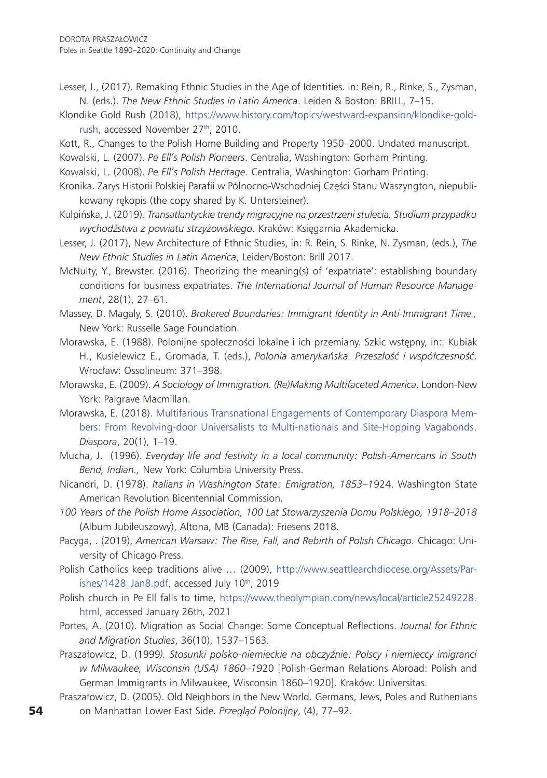- Lesser, J., (2017). Remaking Ethnic Studies in the Age of Identities. in: Rein, R., Rinke, S., Zysman, N. (eds.). *The New Ethnic Studies in Latin America*. Leiden & Boston: BRILL, 7–15.
- Klondike Gold Rush (2018), [https://www.history.com/topics/westward-expansion/klondike-gold](https://www.history.com/topics/westward-expansion/klondike-gold-rush)[rush](https://www.history.com/topics/westward-expansion/klondike-gold-rush), accessed November 27<sup>th</sup>, 2010.
- Kott, R., Changes to the Polish Home Building and Property 1950–2000. Undated manuscript.
- Kowalski, L. (2007). *Pe Ell's Polish Pioneers*. Centralia, Washington: Gorham Printing.
- Kowalski, L. (2008). *Pe Ell's Polish Heritage*. Centralia, Washington: Gorham Printing.
- Kronika. Zarys Historii Polskiej Parafii w Północno-Wschodniej Części Stanu Waszyngton, niepublikowany rękopis (the copy shared by K. Untersteiner).
- Kulpińska, J. (2019). *Transatlantyckie trendy migracyjne na przestrzeni stulecia. Studium przypadku wychodźstwa z powiatu strzyżowskiego*. Kraków: Księgarnia Akademicka.
- Lesser, J. (2017), New Architecture of Ethnic Studies, in: R. Rein, S. Rinke, N. Zysman, (eds.), *The New Ethnic Studies in Latin America*, Leiden/Boston: Brill 2017.
- McNulty, Y., Brewster. (2016). Theorizing the meaning(s) of 'expatriate': establishing boundary conditions for business expatriates. *The International Journal of Human Resource Management*, 28(1), 27–61.
- Massey, D. Magaly, S. (2010). *Brokered Boundaries: Immigrant Identity in Anti-Immigrant Time.,* New York: Russelle Sage Foundation.
- Morawska, E. (1988). Polonijne społeczności lokalne i ich przemiany. Szkic wstępny, in:: Kubiak H., Kusielewicz E., Gromada, T. (eds.), *Polonia amerykańska. Przeszłość i współczesność*. Wrocław: Ossolineum: 371–398.
- Morawska, E. (2009). *A Sociology of Immigration. (Re)Making Multifaceted America*. London-New York: Palgrave Macmillan.
- Morawska, E. (2018). [Multifarious Transnational Engagements of Contemporary Diaspora Mem](http://repository.essex.ac.uk/21281/)[bers: From Revolving-door Universalists to Multi-nationals and Site-Hopping Vagabonds](http://repository.essex.ac.uk/21281/). *Diaspora*, 20(1), 1–19.
- Mucha, J. (1996). *Everyday life and festivity in a local community: Polish-Americans in South Bend, Indian.,* New York: Columbia University Press.
- Nicandri, D. (1978). *Italians in Washington State: Emigration, 1853–1*924. Washington State American Revolution Bicentennial Commission.
- *100 Years of the Polish Home Association, 100 Lat Stowarzyszenia Domu Polskiego, 1918–2018*  (Album Jubileuszowy), Altona, MB (Canada): Friesens 2018.
- Pacyga, . (2019), *American Warsaw: The Rise, Fall, and Rebirth of Polish Chicago.* Chicago: University of Chicago Press.
- Polish Catholics keep traditions alive … (2009), [http://www.seattlearchdiocese.org/Assets/Par](http://www.seattlearchdiocese.org/Assets/Parishes/1428_Jan8.pdf)ishes/1428 Jan8.pdf, accessed July 10th, 2019
- Polish church in Pe Ell falls to time, [https://www.theolympian.com/news/local/article25249228.](https://www.theolympian.com/news/local/article25249228.html) [html](https://www.theolympian.com/news/local/article25249228.html), accessed January 26th, 2021
- Portes, A. (2010). Migration as Social Change: Some Conceptual Reflections. *Journal for Ethnic and Migration Studies*, 36(10), 1537–1563.
- Praszałowicz, D. (1999*). Stosunki polsko-niemieckie na obczyźnie: Polscy i niemieccy imigranci w Milwaukee, Wisconsin (USA) 1860–19*20 [Polish-German Relations Abroad: Polish and German Immigrants in Milwaukee, Wisconsin 1860–1920]. Kraków: Universitas.
- Praszałowicz, D. (2005). Old Neighbors in the New World. Germans, Jews, Poles and Ruthenians on Manhattan Lower East Side. *Przegląd Polonijny*, (4), 77–92.

54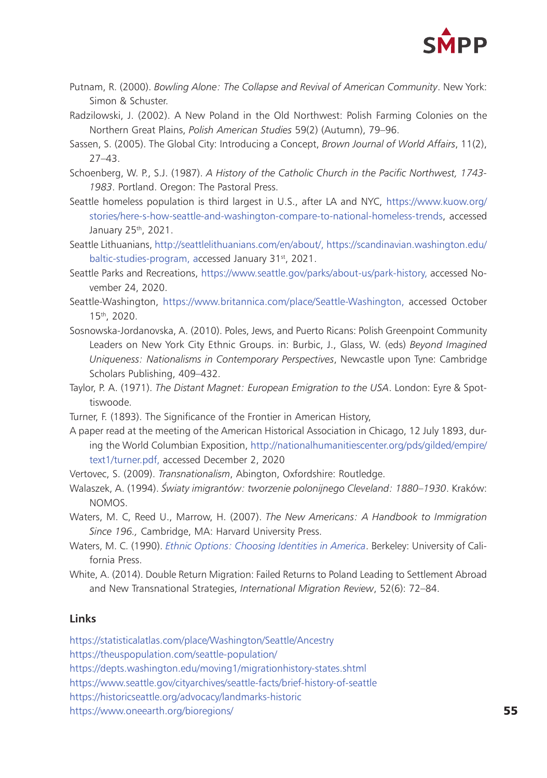

- Putnam, R. (2000). *Bowling Alone: The Collapse and Revival of American Community*. New York: Simon & Schuster.
- Radzilowski, J. (2002). A New Poland in the Old Northwest: Polish Farming Colonies on the Northern Great Plains, *Polish American Studies* 59(2) (Autumn), 79–96.
- Sassen, S. (2005). The Global City: Introducing a Concept, *Brown Journal of World Affairs*, 11(2), 27–43.
- Schoenberg, W. P., S.J. (1987). *A History of the Catholic Church in the Pacific Northwest, 1743- 1983*. Portland. Oregon: The Pastoral Press.
- Seattle homeless population is third largest in U.S., after LA and NYC, [https://www.kuow.org/](https://www.kuow.org/stories/here-s-how-seattle-and-washington-compare-to-national-homeless-trends) [stories/here-s-how-seattle-and-washington-compare-to-national-homeless-trends](https://www.kuow.org/stories/here-s-how-seattle-and-washington-compare-to-national-homeless-trends), accessed January 25<sup>th</sup>, 2021.
- Seattle Lithuanians, [http://seattlelithuanians.com/en/about/,](http://seattlelithuanians.com/en/about/) [https://scandinavian.washington.edu/](https://scandinavian.washington.edu/baltic-studies-program) [baltic-studies-program](https://scandinavian.washington.edu/baltic-studies-program), accessed January 31<sup>st</sup>, 2021.
- Seattle Parks and Recreations, <https://www.seattle.gov/parks/about-us/park-history>, accessed November 24, 2020.
- Seattle-Washington, [https://www.britannica.com/place/Seattle-Washington,](https://www.britannica.com/place/Seattle-Washington) accessed October 15th, 2020.
- Sosnowska-Jordanovska, A. (2010). Poles, Jews, and Puerto Ricans: Polish Greenpoint Community Leaders on New York City Ethnic Groups. in: Burbic, J., Glass, W. (eds) *Beyond Imagined Uniqueness: Nationalisms in Contemporary Perspectives*, Newcastle upon Tyne: Cambridge Scholars Publishing, 409–432.
- Taylor, P. A. (1971). *The Distant Magnet: European Emigration to the USA*. London: Eyre & Spottiswoode.
- Turner, F. (1893). The Significance of the Frontier in American History,
- A paper read at the meeting of the American Historical Association in Chicago, 12 July 1893, during the World Columbian Exposition, [http://nationalhumanitiescenter.org/pds/gilded/empire/](http://nationalhumanitiescenter.org/pds/gilded/empire/text1/turner.pdf) [text1/turner.pdf](http://nationalhumanitiescenter.org/pds/gilded/empire/text1/turner.pdf), accessed December 2, 2020
- Vertovec, S. (2009). *Transnationalism*, Abington, Oxfordshire: Routledge.
- Walaszek, A. (1994). *Światy imigrantów: tworzenie polonijnego Cleveland: 1880–1930*. Kraków: NOMOS.
- Waters, M. C, Reed U., Marrow, H. (2007). *The New Americans: A Handbook to Immigration Since 196.,* Cambridge, MA: Harvard University Press.
- Waters, M. C. (1990). *[Ethnic Options: Choosing Identities in America](https://scholar.harvard.edu/marywaters/publications/ethnic-options-choosing-identities-america)*. Berkeley: University of California Press.
- White, A. (2014). Double Return Migration: Failed Returns to Poland Leading to Settlement Abroad and New Transnational Strategies, *International Migration Review*, 52(6): 72–84.

#### **Links**

<https://statisticalatlas.com/place/Washington/Seattle/Ancestry>

<https://theuspopulation.com/seattle-population/>

<https://depts.washington.edu/moving1/migrationhistory-states.shtml>

<https://www.seattle.gov/cityarchives/seattle-facts/brief-history-of-seattle>

<https://historicseattle.org/advocacy/landmarks-historic>

<https://www.oneearth.org/bioregions/>